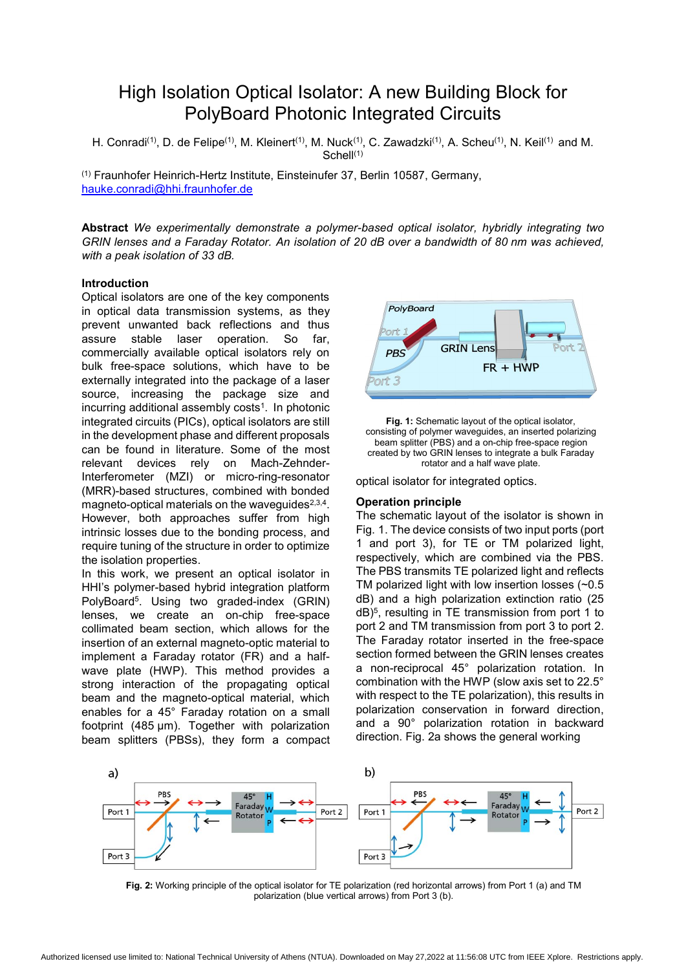# High Isolation Optical Isolator: A new Building Block for PolyBoard Photonic Integrated Circuits

H. Conradi<sup>(1)</sup>, D. de Felipe<sup>(1)</sup>, M. Kleinert<sup>(1)</sup>, M. Nuck<sup>(1)</sup>, C. Zawadzki<sup>(1)</sup>, A. Scheu<sup>(1)</sup>, N. Keil<sup>(1)</sup> and M. Schell<sup>(1)</sup>

(1) Fraunhofer Heinrich-Hertz Institute, Einsteinufer 37, Berlin 10587, Germany, hauke.conradi@hhi.fraunhofer.de

**Abstract** *We experimentally demonstrate a polymer-based optical isolator, hybridly integrating two GRIN lenses and a Faraday Rotator. An isolation of 20 dB over a bandwidth of 80 nm was achieved, with a peak isolation of 33 dB.* 

# **Introduction**

Optical isolators are one of the key components in optical data transmission systems, as they prevent unwanted back reflections and thus assure stable laser operation. So far, commercially available optical isolators rely on bulk free-space solutions, which have to be externally integrated into the package of a laser source, increasing the package size and incurring additional assembly costs<sup>1</sup>. In photonic integrated circuits (PICs), optical isolators are still in the development phase and different proposals can be found in literature. Some of the most relevant devices rely on Mach-Zehnder-Interferometer (MZI) or micro-ring-resonator (MRR)-based structures, combined with bonded magneto-optical materials on the waveguides $2,3,4$ . However, both approaches suffer from high intrinsic losses due to the bonding process, and require tuning of the structure in order to optimize the isolation properties.

In this work, we present an optical isolator in HHI's polymer-based hybrid integration platform PolyBoard5. Using two graded-index (GRIN) lenses, we create an on-chip free-space collimated beam section, which allows for the insertion of an external magneto-optic material to implement a Faraday rotator (FR) and a halfwave plate (HWP). This method provides a strong interaction of the propagating optical beam and the magneto-optical material, which enables for a 45° Faraday rotation on a small footprint (485 μm). Together with polarization beam splitters (PBSs), they form a compact





optical isolator for integrated optics.

## **Operation principle**

The schematic layout of the isolator is shown in Fig. 1. The device consists of two input ports (port 1 and port 3), for TE or TM polarized light, respectively, which are combined via the PBS. The PBS transmits TE polarized light and reflects TM polarized light with low insertion losses (~0.5 dB) and a high polarization extinction ratio (25 dB)5, resulting in TE transmission from port 1 to port 2 and TM transmission from port 3 to port 2. The Faraday rotator inserted in the free-space section formed between the GRIN lenses creates a non-reciprocal 45° polarization rotation. In combination with the HWP (slow axis set to 22.5° with respect to the TE polarization), this results in polarization conservation in forward direction, and a 90° polarization rotation in backward direction. Fig. 2a shows the general working



**Fig. 2:** Working principle of the optical isolator for TE polarization (red horizontal arrows) from Port 1 (a) and TM polarization (blue vertical arrows) from Port 3 (b).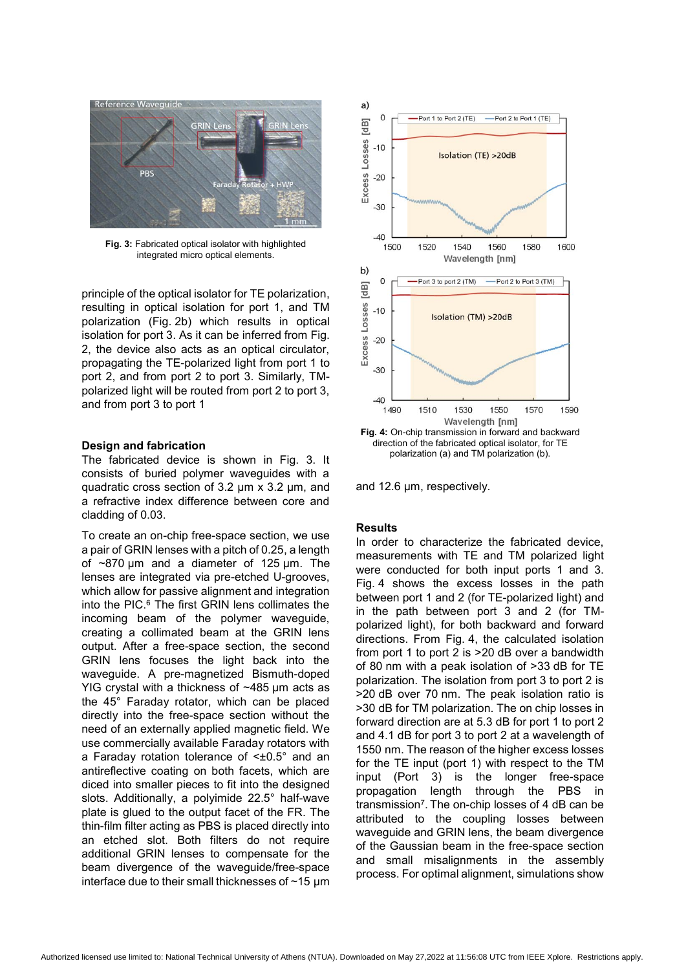

**Fig. 3:** Fabricated optical isolator with highlighted integrated micro optical elements.

principle of the optical isolator for TE polarization, resulting in optical isolation for port 1, and TM polarization (Fig. 2b) which results in optical isolation for port 3. As it can be inferred from Fig. 2, the device also acts as an optical circulator, propagating the TE-polarized light from port 1 to port 2, and from port 2 to port 3. Similarly, TMpolarized light will be routed from port 2 to port 3, and from port 3 to port 1

# **Design and fabrication**

The fabricated device is shown in Fig. 3. It consists of buried polymer waveguides with a quadratic cross section of 3.2 μm x 3.2 μm, and a refractive index difference between core and cladding of 0.03.

To create an on-chip free-space section, we use a pair of GRIN lenses with a pitch of 0.25, a length of ~870 μm and a diameter of 125 μm. The lenses are integrated via pre-etched U-grooves, which allow for passive alignment and integration into the PIC.6 The first GRIN lens collimates the incoming beam of the polymer waveguide, creating a collimated beam at the GRIN lens output. After a free-space section, the second GRIN lens focuses the light back into the waveguide. A pre-magnetized Bismuth-doped YIG crystal with a thickness of ~485 μm acts as the 45° Faraday rotator, which can be placed directly into the free-space section without the need of an externally applied magnetic field. We use commercially available Faraday rotators with a Faraday rotation tolerance of <±0.5° and an antireflective coating on both facets, which are diced into smaller pieces to fit into the designed slots. Additionally, a polyimide 22.5° half-wave plate is glued to the output facet of the FR. The thin-film filter acting as PBS is placed directly into an etched slot. Both filters do not require additional GRIN lenses to compensate for the beam divergence of the waveguide/free-space interface due to their small thicknesses of ~15 μm



and 12.6 μm, respectively.

# **Results**

In order to characterize the fabricated device, measurements with TE and TM polarized light were conducted for both input ports 1 and 3. Fig. 4 shows the excess losses in the path between port 1 and 2 (for TE-polarized light) and in the path between port 3 and 2 (for TMpolarized light), for both backward and forward directions. From Fig. 4, the calculated isolation from port 1 to port 2 is >20 dB over a bandwidth of 80 nm with a peak isolation of >33 dB for TE polarization. The isolation from port 3 to port 2 is >20 dB over 70 nm. The peak isolation ratio is >30 dB for TM polarization. The on chip losses in forward direction are at 5.3 dB for port 1 to port 2 and 4.1 dB for port 3 to port 2 at a wavelength of 1550 nm. The reason of the higher excess losses for the TE input (port 1) with respect to the TM input (Port 3) is the longer free-space propagation length through the PBS in transmission7. The on-chip losses of 4 dB can be attributed to the coupling losses between waveguide and GRIN lens, the beam divergence of the Gaussian beam in the free-space section and small misalignments in the assembly process. For optimal alignment, simulations show